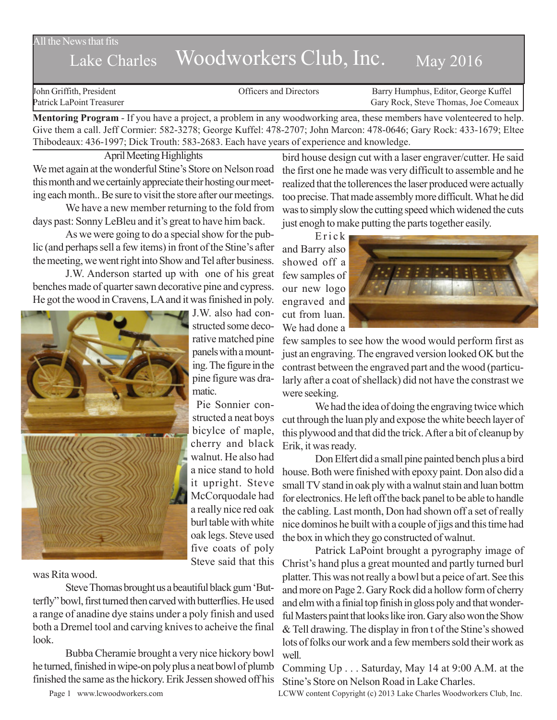## All the News that fits

## Lake Charles Woodworkers Club, Inc. May 2016

John Griffith, President Officers and Directors Barry Humphus, Editor, George Kuffel Patrick LaPoint Treasurer Gary Rock, Steve Thomas, Joe Comeaux

**Mentoring Program** - If you have a project, a problem in any woodworking area, these members have volenteered to help. Give them a call. Jeff Cormier: 582-3278; George Kuffel: 478-2707; John Marcon: 478-0646; Gary Rock: 433-1679; Eltee Thibodeaux: 436-1997; Dick Trouth: 583-2683. Each have years of experience and knowledge.

April Meeting Highlights We met again at the wonderful Stine's Store on Nelson road this month and we certainly appreciate their hosting our meeting each month.. Be sure to visit the store after our meetings.

We have a new member returning to the fold from days past: Sonny LeBleu and it's great to have him back.

As we were going to do a special show for the public (and perhaps sell a few items) in front of the Stine's after the meeting, we went right into Show and Tel after business.

J.W. Anderson started up with one of his great benches made of quarter sawn decorative pine and cypress. He got the wood in Cravens, LA and it was finished in poly.



J.W. also had constructed some decorative matched pine panels with a mounting. The figure in the pine figure was dramatic.

Pie Sonnier constructed a neat boys bicylce of maple, cherry and black walnut. He also had a nice stand to hold it upright. Steve McCorquodale had a really nice red oak burl table with white oak legs. Steve used five coats of poly Steve said that this

## was Rita wood.

Steve Thomas brought us a beautiful black gum 'Butterfly" bowl, first turned then carved with butterflies. He used a range of anadine dye stains under a poly finish and used both a Dremel tool and carving knives to acheive the final look.

Bubba Cheramie brought a very nice hickory bowl he turned, finished in wipe-on poly plus a neat bowl of plumb finished the same as the hickory. Erik Jessen showed off his bird house design cut with a laser engraver/cutter. He said the first one he made was very difficult to assemble and he realized that the tollerences the laser produced were actually too precise. That made assembly more difficult. What he did was to simply slow the cutting speed which widened the cuts just enogh to make putting the parts together easily.

Erick and Barry also showed off a few samples of our new logo engraved and cut from luan. We had done a



few samples to see how the wood would perform first as just an engraving. The engraved version looked OK but the contrast between the engraved part and the wood (particularly after a coat of shellack) did not have the constrast we were seeking.

We had the idea of doing the engraving twice which cut through the luan ply and expose the white beech layer of this plywood and that did the trick. After a bit of cleanup by Erik, it was ready.

Don Elfert did a small pine painted bench plus a bird house. Both were finished with epoxy paint. Don also did a small TV stand in oak ply with a walnut stain and luan bottm for electronics. He left off the back panel to be able to handle the cabling. Last month, Don had shown off a set of really nice dominos he built with a couple of jigs and this time had the box in which they go constructed of walnut.

Patrick LaPoint brought a pyrography image of Christ's hand plus a great mounted and partly turned burl platter. This was not really a bowl but a peice of art. See this and more on Page 2. Gary Rock did a hollow form of cherry and elm with a finial top finish in gloss poly and that wonderful Masters paint that looks like iron. Gary also won the Show & Tell drawing. The display in fron t of the Stine's showed lots of folks our work and a few members sold their work as well.

Comming Up . . . Saturday, May 14 at 9:00 A.M. at the Stine's Store on Nelson Road in Lake Charles.

Page 1 www.lcwoodworkers.com LCWW content Copyright (c) 2013 Lake Charles Woodworkers Club, Inc.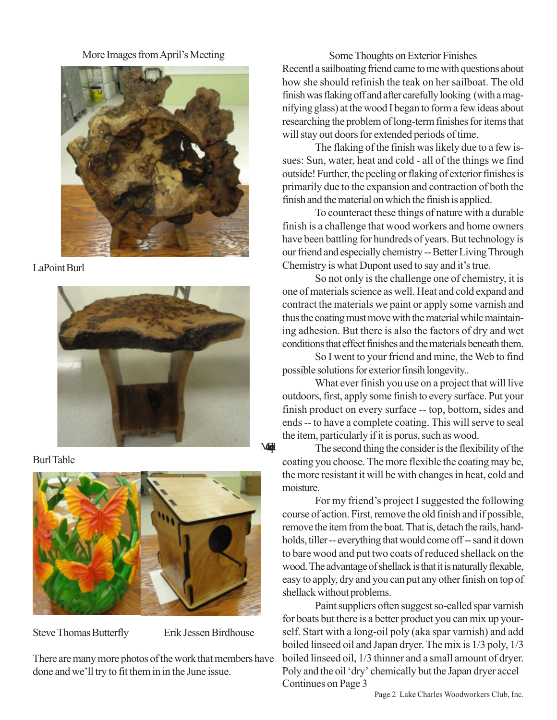More Images from April's Meeting



LaPoint Burl







Steve Thomas Butterfly<br>
Erik Jessen Birdhouse

Mad

There are many more photos of the work that members have done and we'll try to fit them in in the June issue.

Some Thoughts on Exterior Finishes Recentl a sailboating friend came to me with questions about how she should refinish the teak on her sailboat. The old finish was flaking off and after carefully looking (with a magnifying glass) at the wood I began to form a few ideas about researching the problem of long-term finishes for items that will stay out doors for extended periods of time.

The flaking of the finish was likely due to a few issues: Sun, water, heat and cold - all of the things we find outside! Further, the peeling or flaking of exterior finishes is primarily due to the expansion and contraction of both the finish and the material on which the finish is applied.

To counteract these things of nature with a durable finish is a challenge that wood workers and home owners have been battling for hundreds of years. But technology is our friend and especially chemistry -- Better Living Through Chemistry is what Dupont used to say and it's true.

So not only is the challenge one of chemistry, it is one of materials science as well. Heat and cold expand and contract the materials we paint or apply some varnish and thus the coating must move with the material while maintaining adhesion. But there is also the factors of dry and wet conditions that effect finishes and the materials beneath them.

So I went to your friend and mine, the Web to find possible solutions for exterior finsih longevity..

What ever finish you use on a project that will live outdoors, first, apply some finish to every surface. Put your finish product on every surface -- top, bottom, sides and ends -- to have a complete coating. This will serve to seal the item, particularly if it is porus, such as wood.

The second thing the consider is the flexibility of the coating you choose. The more flexible the coating may be, the more resistant it will be with changes in heat, cold and moisture.

For my friend's project I suggested the following course of action. First, remove the old finish and if possible, remove the item from the boat. That is, detach the rails, handholds, tiller -- everything that would come off -- sand it down to bare wood and put two coats of reduced shellack on the wood. The advantage of shellack is that it is naturally flexable, easy to apply, dry and you can put any other finish on top of shellack without problems.

Paint suppliers often suggest so-called spar varnish for boats but there is a better product you can mix up yourself. Start with a long-oil poly (aka spar varnish) and add boiled linseed oil and Japan dryer. The mix is 1/3 poly, 1/3 boiled linseed oil, 1/3 thinner and a small amount of dryer. Poly and the oil 'dry' chemically but the Japan dryer accel Continues on Page 3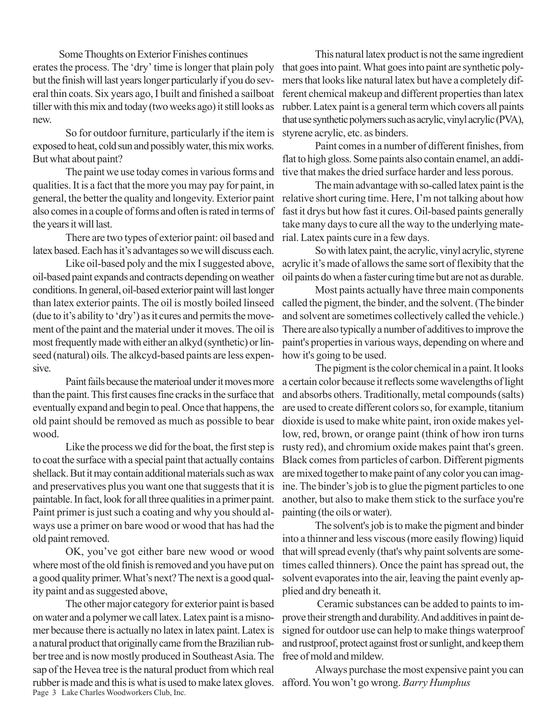Some Thoughts on Exterior Finishes continues erates the process. The 'dry' time is longer that plain poly but the finish will last years longer particularly if you do several thin coats. Six years ago, I built and finished a sailboat tiller with this mix and today (two weeks ago) it still looks as new.

So for outdoor furniture, particularly if the item is exposed to heat, cold sun and possibly water, this mix works. But what about paint?

The paint we use today comes in various forms and qualities. It is a fact that the more you may pay for paint, in general, the better the quality and longevity. Exterior paint also comes in a couple of forms and often is rated in terms of the years it will last.

There are two types of exterior paint: oil based and latex based. Each has it's advantages so we will discuss each.

Like oil-based poly and the mix I suggested above, oil-based paint expands and contracts depending on weather conditions. In general, oil-based exterior paint will last longer than latex exterior paints. The oil is mostly boiled linseed (due to it's ability to 'dry') as it cures and permits the movement of the paint and the material under it moves. The oil is most frequently made with either an alkyd (synthetic) or linseed (natural) oils. The alkcyd-based paints are less expensive.

Paint fails because the materioal under it moves more than the paint. This first causes fine cracks in the surface that eventually expand and begin to peal. Once that happens, the old paint should be removed as much as possible to bear wood.

Like the process we did for the boat, the first step is to coat the surface with a special paint that actually contains shellack. But it may contain additional materials such as wax and preservatives plus you want one that suggests that it is paintable. In fact, look for all three qualities in a primer paint. Paint primer is just such a coating and why you should always use a primer on bare wood or wood that has had the old paint removed.

OK, you've got either bare new wood or wood where most of the old finish is removed and you have put on a good quality primer. What's next? The next is a good quality paint and as suggested above,

Page 3 Lake Charles Woodworkers Club, Inc. The other major category for exterior paint is based on water and a polymer we call latex. Latex paint is a misnomer because there is actually no latex in latex paint. Latex is a natural product that originally came from the Brazilian rubber tree and is now mostly produced in Southeast Asia. The sap of the Hevea tree is the natural product from which real rubber is made and this is what is used to make latex gloves.

This natural latex product is not the same ingredient that goes into paint. What goes into paint are synthetic polymers that looks like natural latex but have a completely different chemical makeup and different properties than latex rubber. Latex paint is a general term which covers all paints that use synthetic polymers such as acrylic, vinyl acrylic (PVA), styrene acrylic, etc. as binders.

Paint comes in a number of different finishes, from flat to high gloss. Some paints also contain enamel, an additive that makes the dried surface harder and less porous.

The main advantage with so-called latex paint is the relative short curing time. Here, I'm not talking about how fast it drys but how fast it cures. Oil-based paints generally take many days to cure all the way to the underlying material. Latex paints cure in a few days.

So with latex paint, the acrylic, vinyl acrylic, styrene acrylic it's made of allows the same sort of flexibity that the oil paints do when a faster curing time but are not as durable.

Most paints actually have three main components called the pigment, the binder, and the solvent. (The binder and solvent are sometimes collectively called the vehicle.) There are also typically a number of additives to improve the paint's properties in various ways, depending on where and how it's going to be used.

The pigment is the color chemical in a paint. It looks a certain color because it reflects some wavelengths of light and absorbs others. Traditionally, metal compounds (salts) are used to create different colors so, for example, titanium dioxide is used to make white paint, iron oxide makes yellow, red, brown, or orange paint (think of how iron turns rusty red), and chromium oxide makes paint that's green. Black comes from particles of carbon. Different pigments are mixed together to make paint of any color you can imagine. The binder's job is to glue the pigment particles to one another, but also to make them stick to the surface you're painting (the oils or water).

The solvent's job is to make the pigment and binder into a thinner and less viscous (more easily flowing) liquid that will spread evenly (that's why paint solvents are sometimes called thinners). Once the paint has spread out, the solvent evaporates into the air, leaving the paint evenly applied and dry beneath it.

 Ceramic substances can be added to paints to improve their strength and durability. And additives in paint designed for outdoor use can help to make things waterproof and rustproof, protect against frost or sunlight, and keep them free of mold and mildew.

Always purchase the most expensive paint you can afford. You won't go wrong. *Barry Humphus*